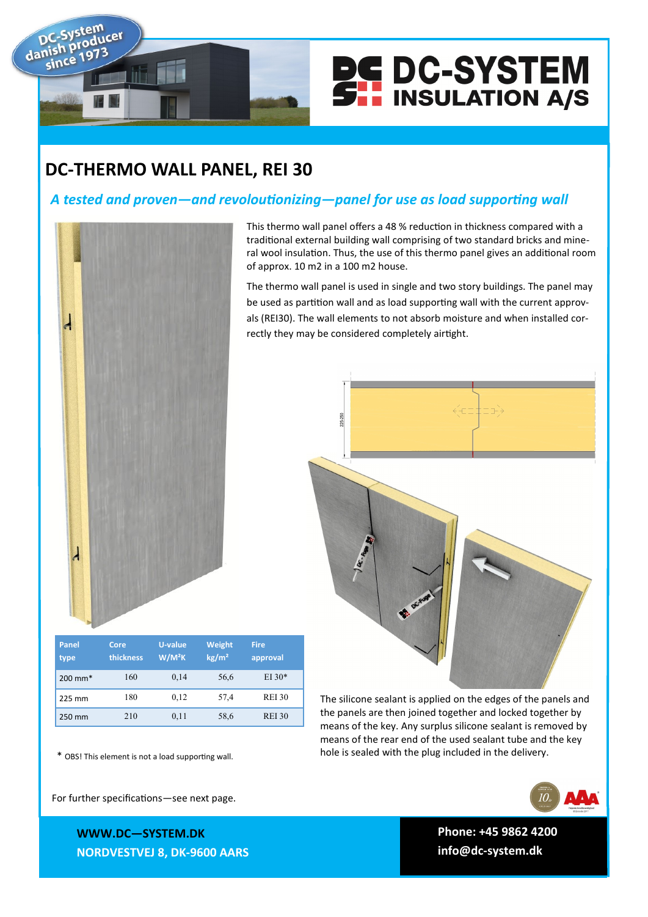



This thermo wall panel offers a 48 % reduction in thickness compared with a traditional external building wall comprising of two standard bricks and mineral wool insulation. Thus, the use of this thermo panel gives an additional room

The thermo wall panel is used in single and two story buildings. The panel may be used as partition wall and as load supporting wall with the current approvals (REI30). The wall elements to not absorb moisture and when installed cor-

## **DC-THERMO WALL PANEL, REI 30**

## *A tested and proven—and revoloutionizing—panel for use as load supporting wall*

of approx. 10 m2 in a 100 m2 house.

rectly they may be considered completely airtight.



| <b>Panel</b><br>type | Core<br>thickness | <b>U-value</b><br>$W/M^2K$ | Weight<br>kg/m <sup>2</sup> | <b>Fire</b><br>approval |
|----------------------|-------------------|----------------------------|-----------------------------|-------------------------|
| $200 \text{ mm}^*$   | 160               | 0,14                       | 56,6                        | $EI 30*$                |
| 225 mm               | 180               | 0,12                       | 57,4                        | <b>REI 30</b>           |
| 250 mm               | 210               | 0,11                       | 58,6                        | <b>REI 30</b>           |

hole is sealed with the plug included in the delivery. \* OBS! This element is not a load supporting wall.

For further specifications—see next page.

**WWWW.DC—SYSTEM.DK WWW.DC—SYSTEM.DK NORDVESTVEJ 8, 9600 AARS NORDVESTVEJ 8, DK-9600 AARS** The silicone sealant is applied on the edges of the panels and the panels are then joined together and locked together by means of the key. Any surplus silicone sealant is removed by means of the rear end of the used sealant tube and the key

**TLF: +45 9862 4200 Phone: +45 9862 4200**

**E-MAIL: DC-SYSTEM@DC-SYSTEM.DK info@dc-system.dk**